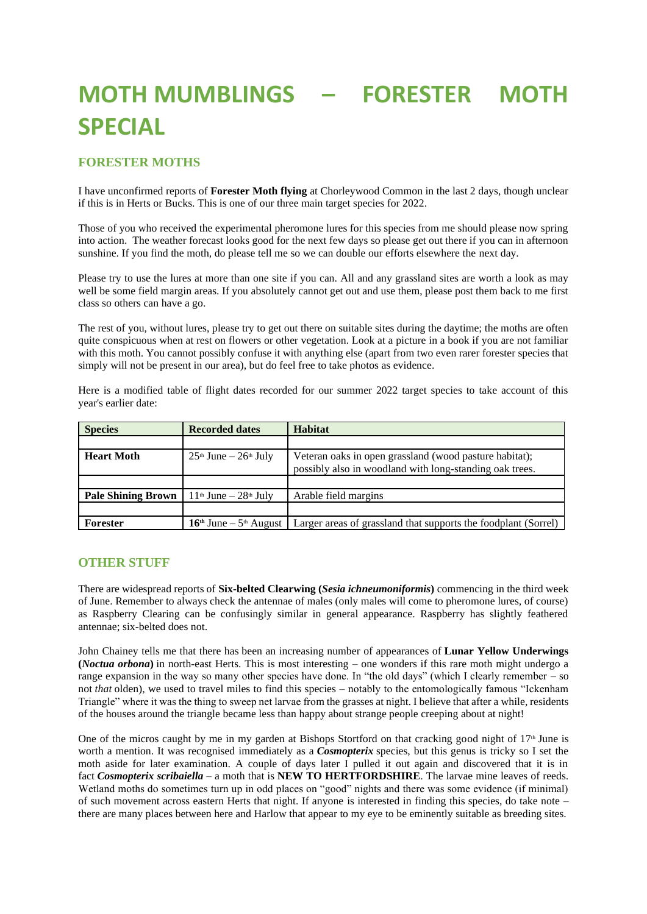## **MOTH MUMBLINGS – FORESTER MOTH SPECIAL**

## **FORESTER MOTHS**

I have unconfirmed reports of **Forester Moth flying** at Chorleywood Common in the last 2 days, though unclear if this is in Herts or Bucks. This is one of our three main target species for 2022.

Those of you who received the experimental pheromone lures for this species from me should please now spring into action. The weather forecast looks good for the next few days so please get out there if you can in afternoon sunshine. If you find the moth, do please tell me so we can double our efforts elsewhere the next day.

Please try to use the lures at more than one site if you can. All and any grassland sites are worth a look as may well be some field margin areas. If you absolutely cannot get out and use them, please post them back to me first class so others can have a go.

The rest of you, without lures, please try to get out there on suitable sites during the daytime; the moths are often quite conspicuous when at rest on flowers or other vegetation. Look at a picture in a book if you are not familiar with this moth. You cannot possibly confuse it with anything else (apart from two even rarer forester species that simply will not be present in our area), but do feel free to take photos as evidence.

Here is a modified table of flight dates recorded for our summer 2022 target species to take account of this year's earlier date:

| <b>Species</b>            | <b>Recorded dates</b>        | <b>Habitat</b>                                                                                                    |
|---------------------------|------------------------------|-------------------------------------------------------------------------------------------------------------------|
|                           |                              |                                                                                                                   |
| <b>Heart Moth</b>         | $25th$ June $-26th$ July     | Veteran oaks in open grassland (wood pasture habitat);<br>possibly also in woodland with long-standing oak trees. |
|                           |                              |                                                                                                                   |
| <b>Pale Shining Brown</b> | $11th$ June $-28th$ July     | Arable field margins                                                                                              |
|                           |                              |                                                                                                                   |
| Forester                  | $16th$ June – $5th$ August 1 | Larger areas of grassland that supports the foodplant (Sorrel)                                                    |

## **OTHER STUFF**

There are widespread reports of **Six-belted Clearwing (***Sesia ichneumoniformis***)** commencing in the third week of June. Remember to always check the antennae of males (only males will come to pheromone lures, of course) as Raspberry Clearing can be confusingly similar in general appearance. Raspberry has slightly feathered antennae; six-belted does not.

John Chainey tells me that there has been an increasing number of appearances of **Lunar Yellow Underwings (***Noctua orbona***)** in north-east Herts. This is most interesting – one wonders if this rare moth might undergo a range expansion in the way so many other species have done. In "the old days" (which I clearly remember – so not *that* olden), we used to travel miles to find this species – notably to the entomologically famous "Ickenham Triangle" where it was the thing to sweep net larvae from the grasses at night. I believe that after a while, residents of the houses around the triangle became less than happy about strange people creeping about at night!

One of the micros caught by me in my garden at Bishops Stortford on that cracking good night of  $17<sup>th</sup>$  June is worth a mention. It was recognised immediately as a *Cosmopterix* species, but this genus is tricky so I set the moth aside for later examination. A couple of days later I pulled it out again and discovered that it is in fact *Cosmopterix scribaiella* – a moth that is **NEW TO HERTFORDSHIRE**. The larvae mine leaves of reeds. Wetland moths do sometimes turn up in odd places on "good" nights and there was some evidence (if minimal) of such movement across eastern Herts that night. If anyone is interested in finding this species, do take note – there are many places between here and Harlow that appear to my eye to be eminently suitable as breeding sites.